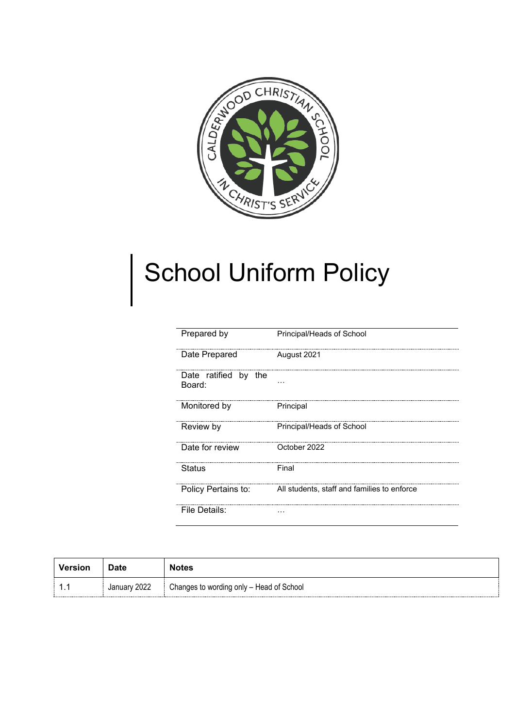

# School Uniform Policy

| Prepared by                    | Principal/Heads of School                   |
|--------------------------------|---------------------------------------------|
| Date Prepared                  | August 2021                                 |
| Date ratified by the<br>Board: |                                             |
| Monitored by                   | Principal                                   |
| Review by                      | Principal/Heads of School                   |
| Date for review                | October 2022                                |
| Status                         | Final                                       |
| Policy Pertains to:            | All students, staff and families to enforce |
| File Details:                  |                                             |

| <b>Version</b> | <b>Date</b>  | <b>Notes</b>                             |
|----------------|--------------|------------------------------------------|
| .              | January 2022 | Changes to wording only - Head of School |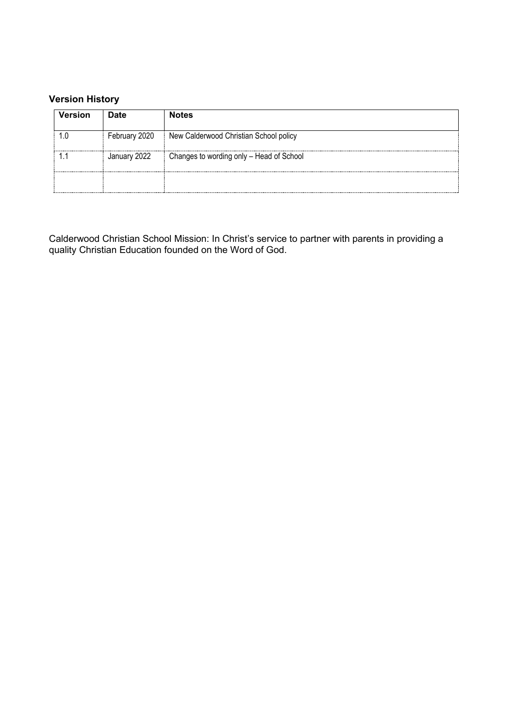# **Version History**

| <b>Version</b>                       | <b>Date</b>   | <b>Notes</b>                             |
|--------------------------------------|---------------|------------------------------------------|
|                                      | February 2020 | New Calderwood Christian School policy   |
|                                      | January 2022  | Changes to wording only - Head of School |
| <del>*************************</del> |               |                                          |

Calderwood Christian School Mission: In Christ's service to partner with parents in providing a quality Christian Education founded on the Word of God.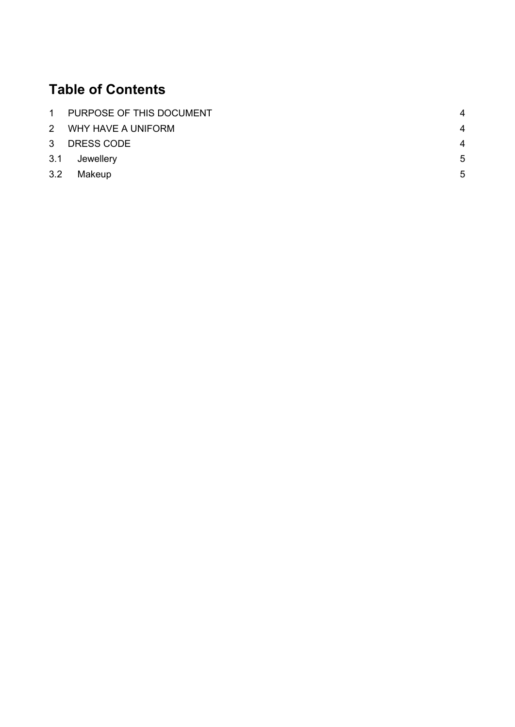# **Table of Contents**

|     | 1 PURPOSE OF THIS DOCUMENT | 4                      |
|-----|----------------------------|------------------------|
|     | 2 WHY HAVE A UNIFORM       | 4                      |
|     | 3 DRESS CODE               | $\boldsymbol{\Lambda}$ |
|     | 3.1 Jewellery              | 5                      |
| 3.2 | Makeup                     | 5                      |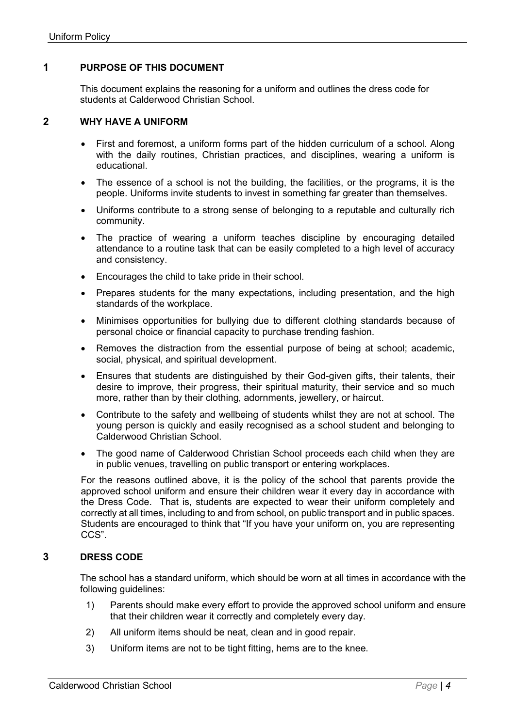#### <span id="page-3-0"></span>**1 PURPOSE OF THIS DOCUMENT**

This document explains the reasoning for a uniform and outlines the dress code for students at Calderwood Christian School.

#### <span id="page-3-1"></span>**2 WHY HAVE A UNIFORM**

- First and foremost, a uniform forms part of the hidden curriculum of a school. Along with the daily routines, Christian practices, and disciplines, wearing a uniform is educational.
- The essence of a school is not the building, the facilities, or the programs, it is the people. Uniforms invite students to invest in something far greater than themselves.
- Uniforms contribute to a strong sense of belonging to a reputable and culturally rich community.
- The practice of wearing a uniform teaches discipline by encouraging detailed attendance to a routine task that can be easily completed to a high level of accuracy and consistency.
- Encourages the child to take pride in their school.
- Prepares students for the many expectations, including presentation, and the high standards of the workplace.
- Minimises opportunities for bullying due to different clothing standards because of personal choice or financial capacity to purchase trending fashion.
- Removes the distraction from the essential purpose of being at school; academic, social, physical, and spiritual development.
- Ensures that students are distinguished by their God-given gifts, their talents, their desire to improve, their progress, their spiritual maturity, their service and so much more, rather than by their clothing, adornments, jewellery, or haircut.
- Contribute to the safety and wellbeing of students whilst they are not at school. The young person is quickly and easily recognised as a school student and belonging to Calderwood Christian School.
- The good name of Calderwood Christian School proceeds each child when they are in public venues, travelling on public transport or entering workplaces.

For the reasons outlined above, it is the policy of the school that parents provide the approved school uniform and ensure their children wear it every day in accordance with the Dress Code. That is, students are expected to wear their uniform completely and correctly at all times, including to and from school, on public transport and in public spaces. Students are encouraged to think that "If you have your uniform on, you are representing CCS".

## <span id="page-3-2"></span>**3 DRESS CODE**

The school has a standard uniform, which should be worn at all times in accordance with the following guidelines:

- 1) Parents should make every effort to provide the approved school uniform and ensure that their children wear it correctly and completely every day.
- 2) All uniform items should be neat, clean and in good repair.
- 3) Uniform items are not to be tight fitting, hems are to the knee.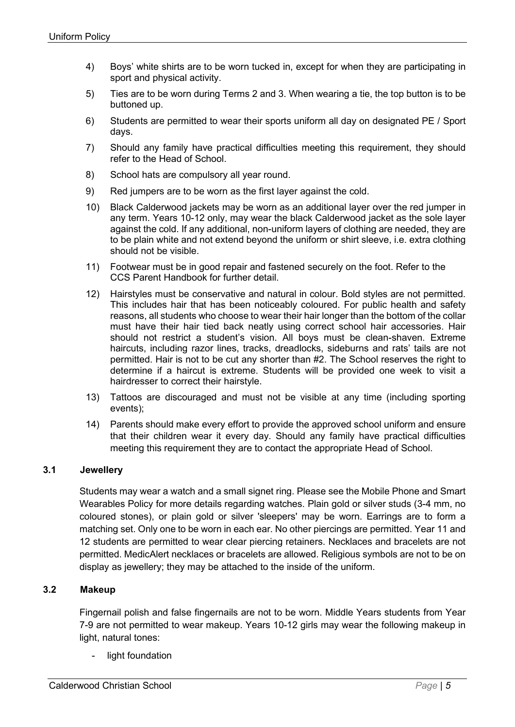- 4) Boys' white shirts are to be worn tucked in, except for when they are participating in sport and physical activity.
- 5) Ties are to be worn during Terms 2 and 3. When wearing a tie, the top button is to be buttoned up.
- 6) Students are permitted to wear their sports uniform all day on designated PE / Sport days.
- 7) Should any family have practical difficulties meeting this requirement, they should refer to the Head of School.
- 8) School hats are compulsory all year round.
- 9) Red jumpers are to be worn as the first layer against the cold.
- 10) Black Calderwood jackets may be worn as an additional layer over the red jumper in any term. Years 10-12 only, may wear the black Calderwood jacket as the sole layer against the cold. If any additional, non-uniform layers of clothing are needed, they are to be plain white and not extend beyond the uniform or shirt sleeve, i.e. extra clothing should not be visible.
- 11) Footwear must be in good repair and fastened securely on the foot. Refer to the CCS Parent Handbook for further detail.
- 12) Hairstyles must be conservative and natural in colour. Bold styles are not permitted. This includes hair that has been noticeably coloured. For public health and safety reasons, all students who choose to wear their hair longer than the bottom of the collar must have their hair tied back neatly using correct school hair accessories. Hair should not restrict a student's vision. All boys must be clean-shaven. Extreme haircuts, including razor lines, tracks, dreadlocks, sideburns and rats' tails are not permitted. Hair is not to be cut any shorter than #2. The School reserves the right to determine if a haircut is extreme. Students will be provided one week to visit a hairdresser to correct their hairstyle.
- 13) Tattoos are discouraged and must not be visible at any time (including sporting events);
- 14) Parents should make every effort to provide the approved school uniform and ensure that their children wear it every day. Should any family have practical difficulties meeting this requirement they are to contact the appropriate Head of School.

## <span id="page-4-0"></span>**3.1 Jewellery**

Students may wear a watch and a small signet ring. Please see the Mobile Phone and Smart Wearables Policy for more details regarding watches. Plain gold or silver studs (3-4 mm, no coloured stones), or plain gold or silver 'sleepers' may be worn. Earrings are to form a matching set. Only one to be worn in each ear. No other piercings are permitted. Year 11 and 12 students are permitted to wear clear piercing retainers. Necklaces and bracelets are not permitted. MedicAlert necklaces or bracelets are allowed. Religious symbols are not to be on display as jewellery; they may be attached to the inside of the uniform.

#### <span id="page-4-1"></span>**3.2 Makeup**

Fingernail polish and false fingernails are not to be worn. Middle Years students from Year 7-9 are not permitted to wear makeup. Years 10-12 girls may wear the following makeup in light, natural tones:

light foundation